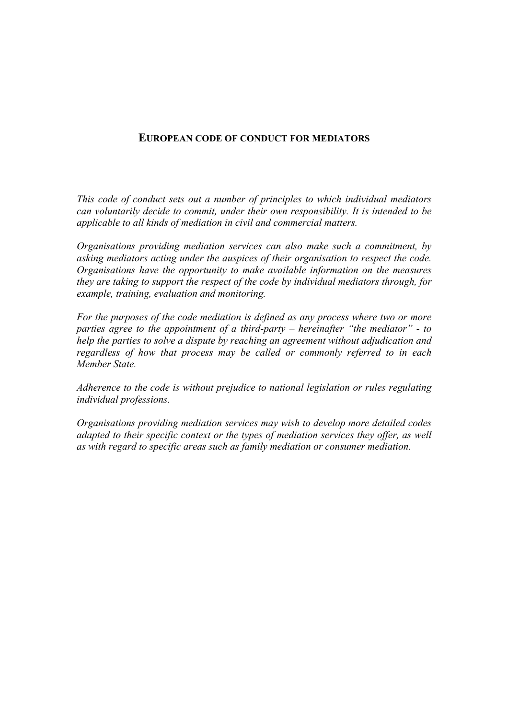#### **EUROPEAN CODE OF CONDUCT FOR MEDIATORS**

*This code of conduct sets out a number of principles to which individual mediators can voluntarily decide to commit, under their own responsibility. It is intended to be applicable to all kinds of mediation in civil and commercial matters.* 

*Organisations providing mediation services can also make such a commitment, by asking mediators acting under the auspices of their organisation to respect the code. Organisations have the opportunity to make available information on the measures they are taking to support the respect of the code by individual mediators through, for example, training, evaluation and monitoring.* 

*For the purposes of the code mediation is defined as any process where two or more parties agree to the appointment of a third-party – hereinafter "the mediator" - to help the parties to solve a dispute by reaching an agreement without adjudication and regardless of how that process may be called or commonly referred to in each Member State.* 

*Adherence to the code is without prejudice to national legislation or rules regulating individual professions.* 

*Organisations providing mediation services may wish to develop more detailed codes adapted to their specific context or the types of mediation services they offer, as well as with regard to specific areas such as family mediation or consumer mediation.*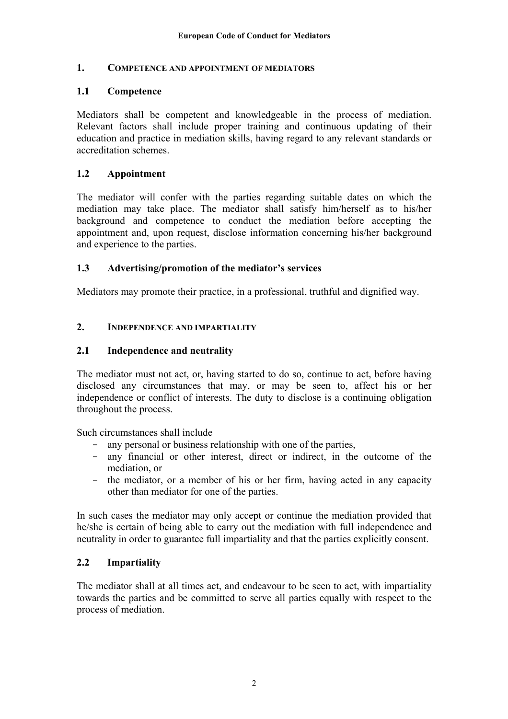#### **1. COMPETENCE AND APPOINTMENT OF MEDIATORS**

#### **1.1 Competence**

Mediators shall be competent and knowledgeable in the process of mediation. Relevant factors shall include proper training and continuous updating of their education and practice in mediation skills, having regard to any relevant standards or accreditation schemes.

## **1.2 Appointment**

The mediator will confer with the parties regarding suitable dates on which the mediation may take place. The mediator shall satisfy him/herself as to his/her background and competence to conduct the mediation before accepting the appointment and, upon request, disclose information concerning his/her background and experience to the parties.

### **1.3 Advertising/promotion of the mediator's services**

Mediators may promote their practice, in a professional, truthful and dignified way.

## **2. INDEPENDENCE AND IMPARTIALITY**

### **2.1 Independence and neutrality**

The mediator must not act, or, having started to do so, continue to act, before having disclosed any circumstances that may, or may be seen to, affect his or her independence or conflict of interests. The duty to disclose is a continuing obligation throughout the process.

Such circumstances shall include

- any personal or business relationship with one of the parties,
- any financial or other interest, direct or indirect, in the outcome of the mediation, or
- the mediator, or a member of his or her firm, having acted in any capacity other than mediator for one of the parties.

In such cases the mediator may only accept or continue the mediation provided that he/she is certain of being able to carry out the mediation with full independence and neutrality in order to guarantee full impartiality and that the parties explicitly consent.

### **2.2 Impartiality**

The mediator shall at all times act, and endeavour to be seen to act, with impartiality towards the parties and be committed to serve all parties equally with respect to the process of mediation.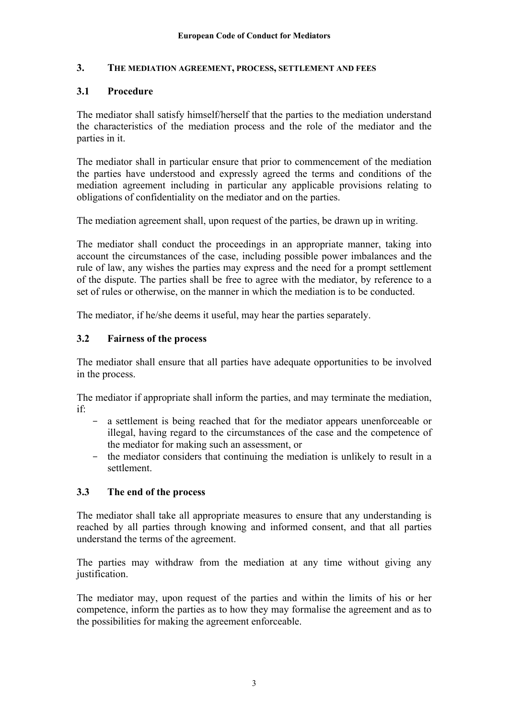#### **3. THE MEDIATION AGREEMENT, PROCESS, SETTLEMENT AND FEES**

### **3.1 Procedure**

The mediator shall satisfy himself/herself that the parties to the mediation understand the characteristics of the mediation process and the role of the mediator and the parties in it.

The mediator shall in particular ensure that prior to commencement of the mediation the parties have understood and expressly agreed the terms and conditions of the mediation agreement including in particular any applicable provisions relating to obligations of confidentiality on the mediator and on the parties.

The mediation agreement shall, upon request of the parties, be drawn up in writing.

The mediator shall conduct the proceedings in an appropriate manner, taking into account the circumstances of the case, including possible power imbalances and the rule of law, any wishes the parties may express and the need for a prompt settlement of the dispute. The parties shall be free to agree with the mediator, by reference to a set of rules or otherwise, on the manner in which the mediation is to be conducted.

The mediator, if he/she deems it useful, may hear the parties separately.

### **3.2 Fairness of the process**

The mediator shall ensure that all parties have adequate opportunities to be involved in the process.

The mediator if appropriate shall inform the parties, and may terminate the mediation, if:

- a settlement is being reached that for the mediator appears unenforceable or illegal, having regard to the circumstances of the case and the competence of the mediator for making such an assessment, or
- the mediator considers that continuing the mediation is unlikely to result in a settlement.

### **3.3 The end of the process**

The mediator shall take all appropriate measures to ensure that any understanding is reached by all parties through knowing and informed consent, and that all parties understand the terms of the agreement.

The parties may withdraw from the mediation at any time without giving any justification.

The mediator may, upon request of the parties and within the limits of his or her competence, inform the parties as to how they may formalise the agreement and as to the possibilities for making the agreement enforceable.